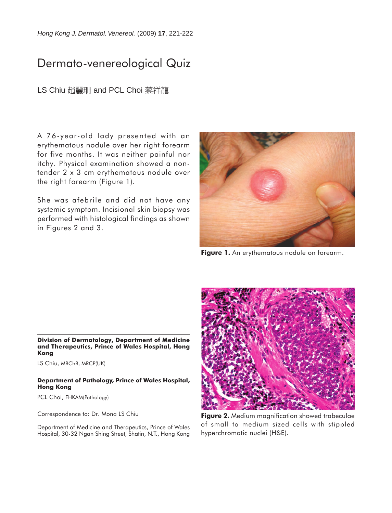*Hong Kong J. Dermatol. Venereol.* (2009) **17**, 221-222

## Dermato-venereological Quiz

LS Chiu 趙麗珊 and PCL Choi 蔡祥龍

A 76-year-old lady presented with an erythematous nodule over her right forearm for five months. It was neither painful nor itchy. Physical examination showed a nontender 2 x 3 cm erythematous nodule over the right forearm (Figure 1).

She was afebrile and did not have any systemic symptom. Incisional skin biopsy was performed with histological findings as shown in Figures 2 and 3.



**Figure 1.** An erythematous nodule on forearm.

**Division of Dermatology, Department of Medicine and Therapeutics, Prince of Wales Hospital, Hong Kong**

LS Chiu, MBChB, MRCP(UK)

## **Department of Pathology, Prince of Wales Hospital, Hong Kong**

PCL Choi, FHKAM(Pathology)

Correspondence to: Dr. Mona LS Chiu

Department of Medicine and Therapeutics, Prince of Wales Hospital, 30-32 Ngan Shing Street, Shatin, N.T., Hong Kong



**Figure 2.** Medium magnification showed trabeculae of small to medium sized cells with stippled hyperchromatic nuclei (H&E).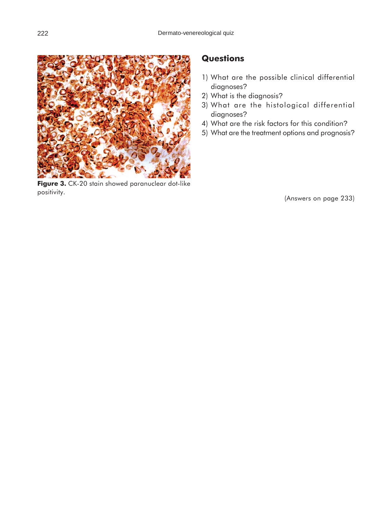

**Figure 3.** CK-20 stain showed paranuclear dot-like positivity.

## **Questions**

- 1) What are the possible clinical differential diagnoses?
- 2) What is the diagnosis?
- 3) What are the histological differential diagnoses?
- 4) What are the risk factors for this condition?
- 5) What are the treatment options and prognosis?

(Answers on page 233)